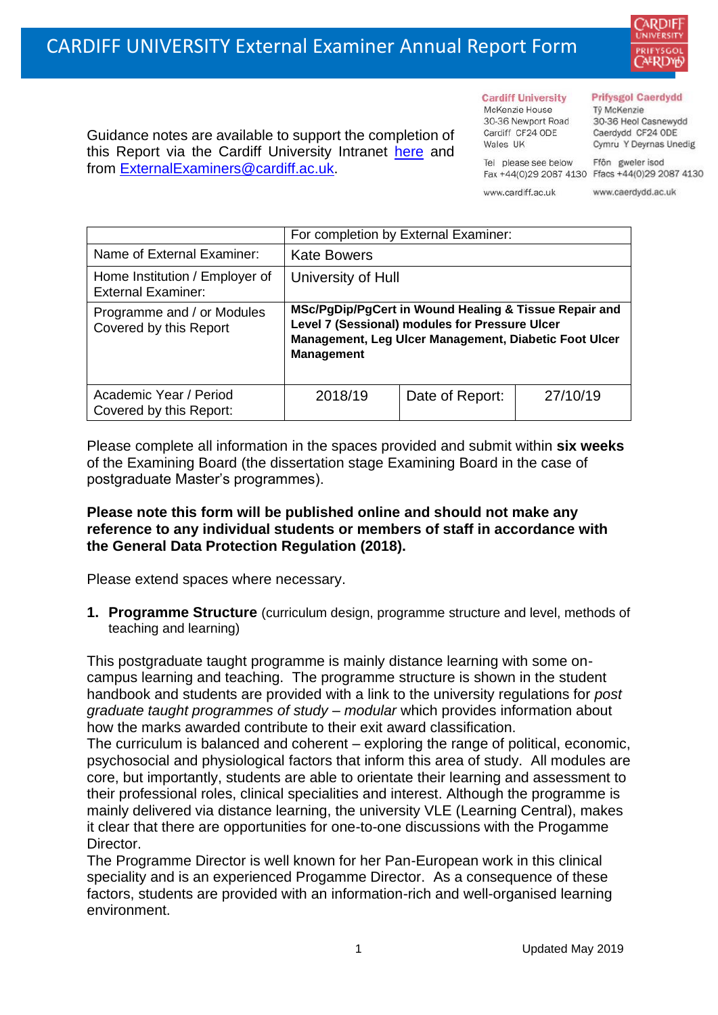

**Cardiff University** McKenzie House 30-36 Newport Road

Wales IIK

Cardiff CF24 ODE

## **Prifysgol Caerdydd**

Từ McKenzie 30-36 Heol Casnewydd Caerdydd CF24 ODE Cymru Y Deyrnas Unedig

Ffôn gweler isod Fax +44(0)29 2087 4130 Ffacs +44(0)29 2087 4130

www.cardiff.ac.uk

Tel please see below

www.caerdydd.ac.uk

Guidance notes are available to support the completion of this Report via the Cardiff University Intranet [here](https://intranet.cardiff.ac.uk/staff/teaching-and-supporting-students/exams-and-assessment/exam-boards-and-external-examiners/for-current-external-examiners/external-examiners-reports) and from [ExternalExaminers@cardiff.ac.uk.](mailto:ExternalExaminers@cardiff.ac.uk)

|                                                             | For completion by External Examiner:                                                                                                                                                  |                 |          |  |  |
|-------------------------------------------------------------|---------------------------------------------------------------------------------------------------------------------------------------------------------------------------------------|-----------------|----------|--|--|
| Name of External Examiner:                                  | <b>Kate Bowers</b>                                                                                                                                                                    |                 |          |  |  |
| Home Institution / Employer of<br><b>External Examiner:</b> | University of Hull                                                                                                                                                                    |                 |          |  |  |
| Programme and / or Modules<br>Covered by this Report        | MSc/PgDip/PgCert in Wound Healing & Tissue Repair and<br>Level 7 (Sessional) modules for Pressure Ulcer<br>Management, Leg Ulcer Management, Diabetic Foot Ulcer<br><b>Management</b> |                 |          |  |  |
| Academic Year / Period<br>Covered by this Report:           | 2018/19                                                                                                                                                                               | Date of Report: | 27/10/19 |  |  |

Please complete all information in the spaces provided and submit within **six weeks** of the Examining Board (the dissertation stage Examining Board in the case of postgraduate Master's programmes).

## **Please note this form will be published online and should not make any reference to any individual students or members of staff in accordance with the General Data Protection Regulation (2018).**

Please extend spaces where necessary.

**1. Programme Structure** (curriculum design, programme structure and level, methods of teaching and learning)

This postgraduate taught programme is mainly distance learning with some oncampus learning and teaching. The programme structure is shown in the student handbook and students are provided with a link to the university regulations for *post graduate taught programmes of study – modular* which provides information about how the marks awarded contribute to their exit award classification.

The curriculum is balanced and coherent – exploring the range of political, economic, psychosocial and physiological factors that inform this area of study. All modules are core, but importantly, students are able to orientate their learning and assessment to their professional roles, clinical specialities and interest. Although the programme is mainly delivered via distance learning, the university VLE (Learning Central), makes it clear that there are opportunities for one-to-one discussions with the Progamme Director.

The Programme Director is well known for her Pan-European work in this clinical speciality and is an experienced Progamme Director. As a consequence of these factors, students are provided with an information-rich and well-organised learning environment.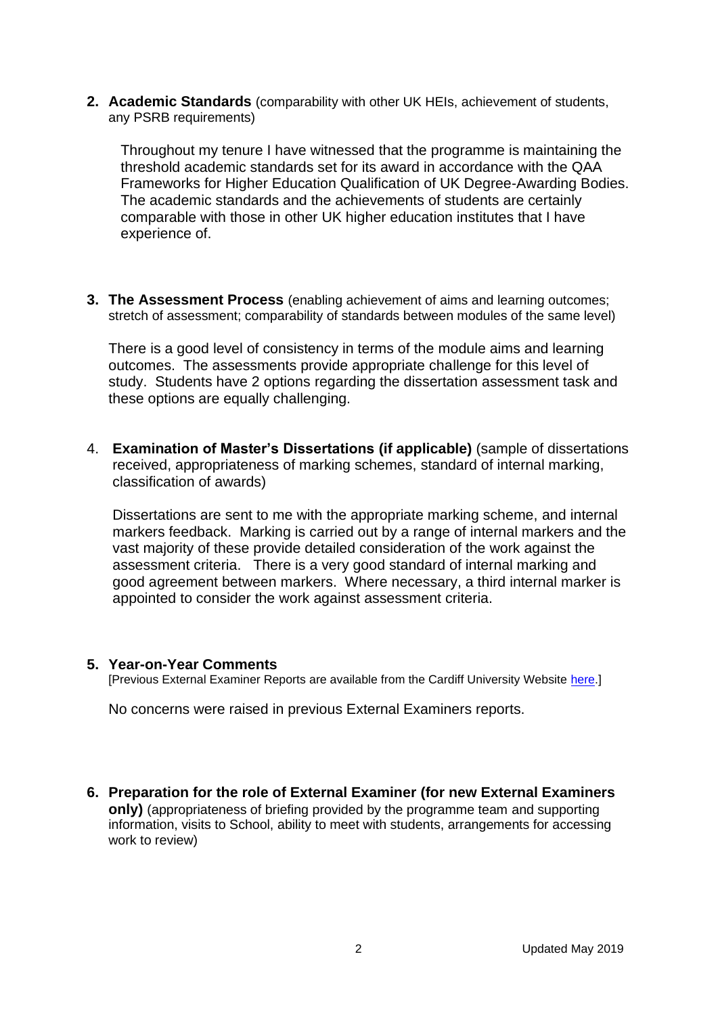**2. Academic Standards** (comparability with other UK HEIs, achievement of students, any PSRB requirements)

Throughout my tenure I have witnessed that the programme is maintaining the threshold academic standards set for its award in accordance with the QAA Frameworks for Higher Education Qualification of UK Degree-Awarding Bodies. The academic standards and the achievements of students are certainly comparable with those in other UK higher education institutes that I have experience of.

**3. The Assessment Process** (enabling achievement of aims and learning outcomes; stretch of assessment; comparability of standards between modules of the same level)

There is a good level of consistency in terms of the module aims and learning outcomes. The assessments provide appropriate challenge for this level of study. Students have 2 options regarding the dissertation assessment task and these options are equally challenging.

4. **Examination of Master's Dissertations (if applicable)** (sample of dissertations received, appropriateness of marking schemes, standard of internal marking, classification of awards)

Dissertations are sent to me with the appropriate marking scheme, and internal markers feedback. Marking is carried out by a range of internal markers and the vast majority of these provide detailed consideration of the work against the assessment criteria. There is a very good standard of internal marking and good agreement between markers. Where necessary, a third internal marker is appointed to consider the work against assessment criteria.

## **5. Year-on-Year Comments**

[Previous External Examiner Reports are available from the Cardiff University Website [here.](https://www.cardiff.ac.uk/public-information/quality-and-standards/external-examiner-reports)]

No concerns were raised in previous External Examiners reports.

**6. Preparation for the role of External Examiner (for new External Examiners only)** (appropriateness of briefing provided by the programme team and supporting information, visits to School, ability to meet with students, arrangements for accessing work to review)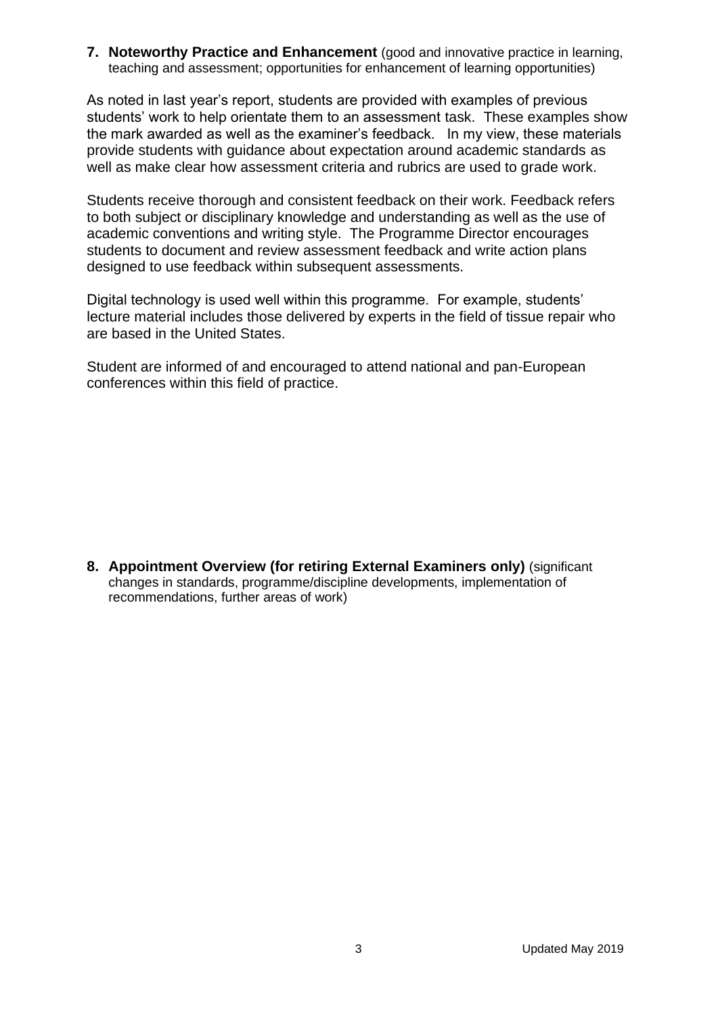**7. Noteworthy Practice and Enhancement** (good and innovative practice in learning, teaching and assessment; opportunities for enhancement of learning opportunities)

As noted in last year's report, students are provided with examples of previous students' work to help orientate them to an assessment task. These examples show the mark awarded as well as the examiner's feedback. In my view, these materials provide students with guidance about expectation around academic standards as well as make clear how assessment criteria and rubrics are used to grade work.

Students receive thorough and consistent feedback on their work. Feedback refers to both subject or disciplinary knowledge and understanding as well as the use of academic conventions and writing style. The Programme Director encourages students to document and review assessment feedback and write action plans designed to use feedback within subsequent assessments.

Digital technology is used well within this programme. For example, students' lecture material includes those delivered by experts in the field of tissue repair who are based in the United States.

Student are informed of and encouraged to attend national and pan-European conferences within this field of practice.

**8. Appointment Overview (for retiring External Examiners only)** (significant changes in standards, programme/discipline developments, implementation of recommendations, further areas of work)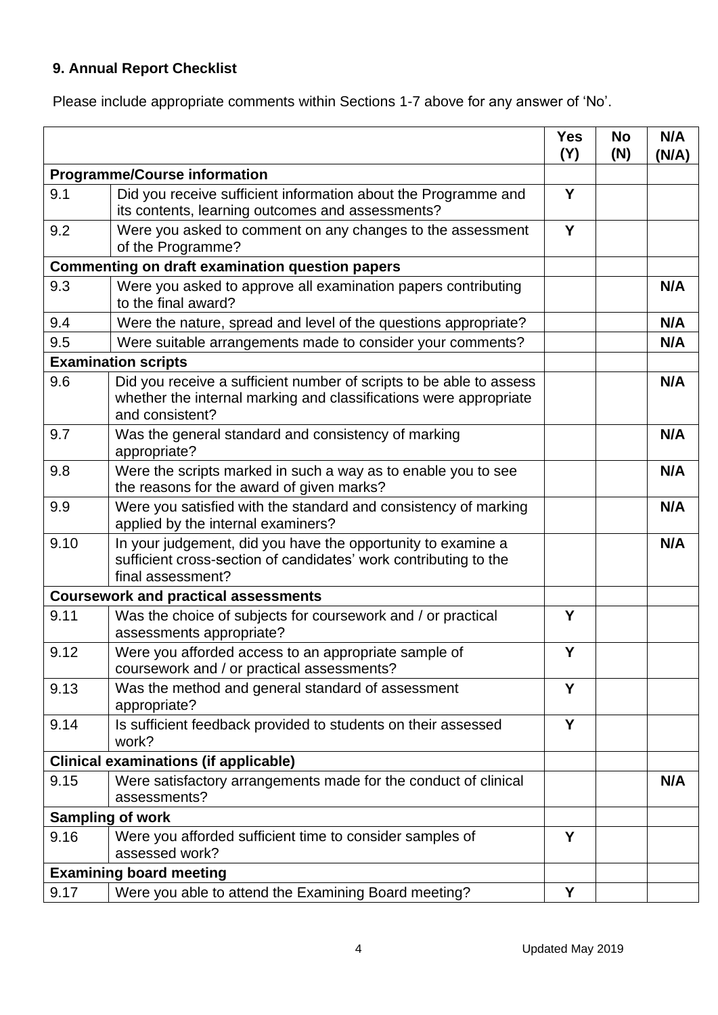## **9. Annual Report Checklist**

Please include appropriate comments within Sections 1-7 above for any answer of 'No'.

|                                                        |                                                                                                                                                             | <b>Yes</b><br>(Y) | <b>No</b><br>(N) | N/A<br>(N/A) |
|--------------------------------------------------------|-------------------------------------------------------------------------------------------------------------------------------------------------------------|-------------------|------------------|--------------|
| <b>Programme/Course information</b>                    |                                                                                                                                                             |                   |                  |              |
| 9.1                                                    | Did you receive sufficient information about the Programme and<br>its contents, learning outcomes and assessments?                                          | Y                 |                  |              |
| 9.2                                                    | Were you asked to comment on any changes to the assessment<br>of the Programme?                                                                             | Y                 |                  |              |
| <b>Commenting on draft examination question papers</b> |                                                                                                                                                             |                   |                  |              |
| 9.3                                                    | Were you asked to approve all examination papers contributing<br>to the final award?                                                                        |                   |                  | N/A          |
| 9.4                                                    | Were the nature, spread and level of the questions appropriate?                                                                                             |                   |                  | N/A          |
| 9.5                                                    | Were suitable arrangements made to consider your comments?                                                                                                  |                   |                  | N/A          |
|                                                        | <b>Examination scripts</b>                                                                                                                                  |                   |                  |              |
| 9.6                                                    | Did you receive a sufficient number of scripts to be able to assess<br>whether the internal marking and classifications were appropriate<br>and consistent? |                   |                  | N/A          |
| 9.7                                                    | Was the general standard and consistency of marking<br>appropriate?                                                                                         |                   |                  | N/A          |
| 9.8                                                    | Were the scripts marked in such a way as to enable you to see<br>the reasons for the award of given marks?                                                  |                   |                  | N/A          |
| 9.9                                                    | Were you satisfied with the standard and consistency of marking<br>applied by the internal examiners?                                                       |                   |                  | N/A          |
| 9.10                                                   | In your judgement, did you have the opportunity to examine a<br>sufficient cross-section of candidates' work contributing to the<br>final assessment?       |                   |                  | N/A          |
|                                                        | <b>Coursework and practical assessments</b>                                                                                                                 |                   |                  |              |
| 9.11                                                   | Was the choice of subjects for coursework and / or practical<br>assessments appropriate?                                                                    | Y                 |                  |              |
| 9.12                                                   | Were you afforded access to an appropriate sample of<br>coursework and / or practical assessments?                                                          | Y                 |                  |              |
| 9.13                                                   | Was the method and general standard of assessment<br>appropriate?                                                                                           | Y                 |                  |              |
| 9.14                                                   | Is sufficient feedback provided to students on their assessed<br>work?                                                                                      | Y                 |                  |              |
|                                                        | <b>Clinical examinations (if applicable)</b>                                                                                                                |                   |                  |              |
| 9.15                                                   | Were satisfactory arrangements made for the conduct of clinical<br>assessments?                                                                             |                   |                  | N/A          |
|                                                        | <b>Sampling of work</b>                                                                                                                                     |                   |                  |              |
| 9.16                                                   | Were you afforded sufficient time to consider samples of<br>assessed work?                                                                                  | Y                 |                  |              |
|                                                        | <b>Examining board meeting</b>                                                                                                                              |                   |                  |              |
| 9.17                                                   | Were you able to attend the Examining Board meeting?                                                                                                        | Υ                 |                  |              |